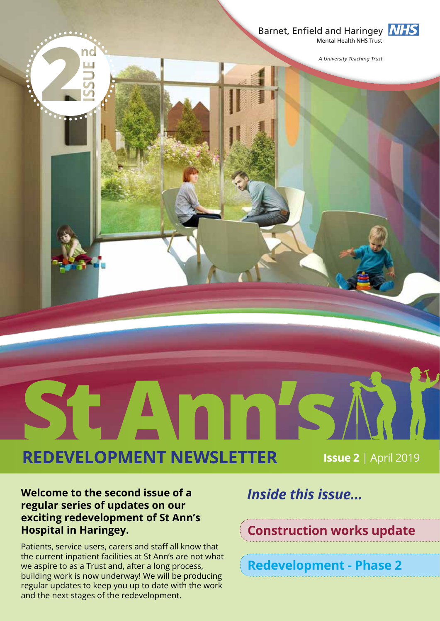

**INHS** 

*A University Teaching Trust*

**REDEVELOPMENT NEWSLETTER Issue 2** | April 2019

Amn

#### **Welcome to the second issue of a regular series of updates on our exciting redevelopment of St Ann's Hospital in Haringey.**

ST

Patients, service users, carers and staff all know that the current inpatient facilities at St Ann's are not what we aspire to as a Trust and, after a long process, building work is now underway! We will be producing regular updates to keep you up to date with the work and the next stages of the redevelopment.

### *Inside this issue...*

**Construction works update**

**Redevelopment - Phase 2**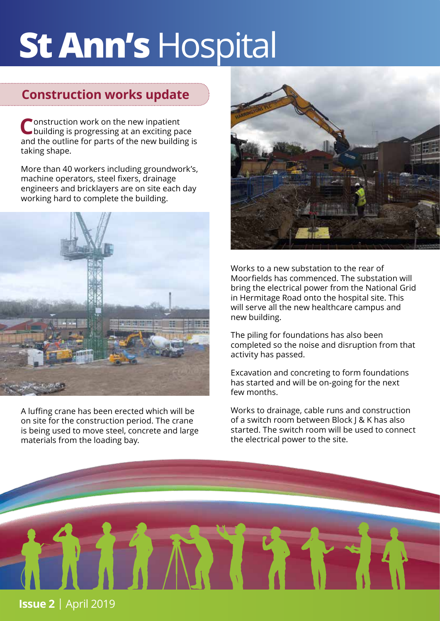# **St Ann's** Hospital

#### **Construction works update**

Construction work on the new inpatient<br>
C building is progressing at an exciting pace and the outline for parts of the new building is taking shape.

More than 40 workers including groundwork's, machine operators, steel fixers, drainage engineers and bricklayers are on site each day working hard to complete the building.



A luffing crane has been erected which will be on site for the construction period. The crane is being used to move steel, concrete and large materials from the loading bay.



Works to a new substation to the rear of Moorfields has commenced. The substation will bring the electrical power from the National Grid in Hermitage Road onto the hospital site. This will serve all the new healthcare campus and new building.

The piling for foundations has also been completed so the noise and disruption from that activity has passed.

Excavation and concreting to form foundations has started and will be on-going for the next few months.

Works to drainage, cable runs and construction of a switch room between Block J & K has also started. The switch room will be used to connect the electrical power to the site.

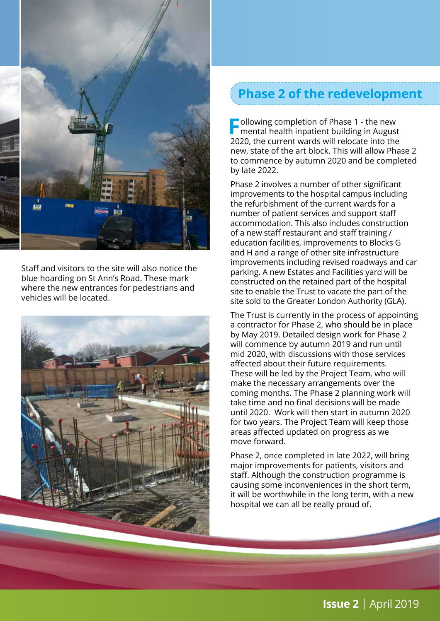

Staff and visitors to the site will also notice the blue hoarding on St Ann's Road. These mark where the new entrances for pedestrians and vehicles will be located.



#### **Phase 2 of the redevelopment**

**Following completion of Phase 1 - the new mental health inpatient building in August** 2020, the current wards will relocate into the new, state of the art block. This will allow Phase 2 to commence by autumn 2020 and be completed by late 2022.

Phase 2 involves a number of other significant improvements to the hospital campus including the refurbishment of the current wards for a number of patient services and support staff accommodation. This also includes construction of a new staff restaurant and staff training / education facilities, improvements to Blocks G and H and a range of other site infrastructure improvements including revised roadways and car parking. A new Estates and Facilities yard will be constructed on the retained part of the hospital site to enable the Trust to vacate the part of the site sold to the Greater London Authority (GLA).

The Trust is currently in the process of appointing a contractor for Phase 2, who should be in place by May 2019. Detailed design work for Phase 2 will commence by autumn 2019 and run until mid 2020, with discussions with those services affected about their future requirements. These will be led by the Project Team, who will make the necessary arrangements over the coming months. The Phase 2 planning work will take time and no final decisions will be made until 2020. Work will then start in autumn 2020 for two years. The Project Team will keep those areas affected updated on progress as we move forward.

Phase 2, once completed in late 2022, will bring major improvements for patients, visitors and staff. Although the construction programme is causing some inconveniences in the short term, it will be worthwhile in the long term, with a new hospital we can all be really proud of.